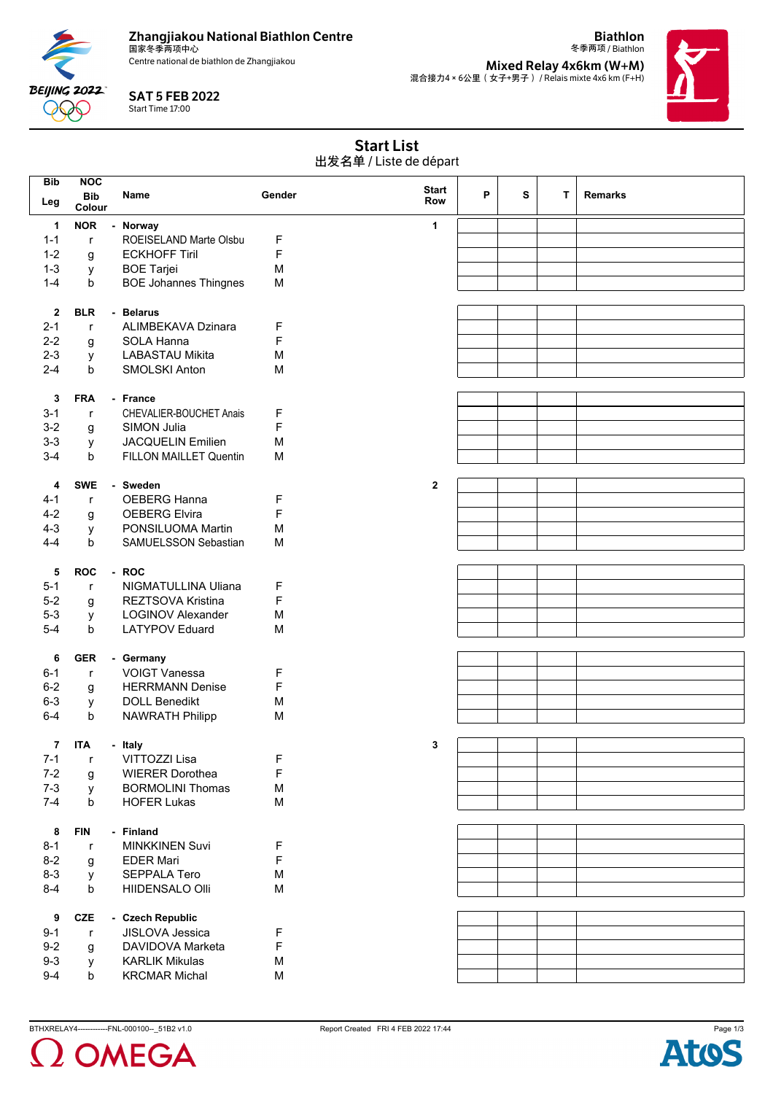

Centre national de biathlon de Zhangjiakou

**Biathlon** 冬季两项 / Biathlon





SAT 5 FEB 2022 Start Time 17:00

**BEIJING 2022** 999

| <b>Start List</b>      |
|------------------------|
| 出发名单 / Liste de départ |

| <b>Bib</b> | <b>NOC</b>           |                              |        | <b>Start</b> |   |   |    |                |
|------------|----------------------|------------------------------|--------|--------------|---|---|----|----------------|
| Leg        | <b>Bib</b><br>Colour | <b>Name</b>                  | Gender | <b>Row</b>   | P | S | T. | <b>Remarks</b> |
| 1          | <b>NOR</b>           | - Norway                     |        | 1            |   |   |    |                |
| $1 - 1$    | $\mathsf{r}$         | ROEISELAND Marte Olsbu       | F      |              |   |   |    |                |
| $1 - 2$    | g                    | <b>ECKHOFF Tiril</b>         | F      |              |   |   |    |                |
| $1 - 3$    | у                    | <b>BOE Tarjei</b>            | M      |              |   |   |    |                |
| $1 - 4$    | b                    | <b>BOE Johannes Thingnes</b> | M      |              |   |   |    |                |
|            |                      |                              |        |              |   |   |    |                |
| 2          | <b>BLR</b>           | - Belarus                    |        |              |   |   |    |                |
| $2 - 1$    | $\mathsf{r}$         | ALIMBEKAVA Dzinara           | F      |              |   |   |    |                |
| $2 - 2$    | g                    | SOLA Hanna                   | F      |              |   |   |    |                |
| $2 - 3$    | у                    | <b>LABASTAU Mikita</b>       | M      |              |   |   |    |                |
| $2 - 4$    | b                    | SMOLSKI Anton                | M      |              |   |   |    |                |
|            |                      |                              |        |              |   |   |    |                |
| 3          | <b>FRA</b>           | - France                     |        |              |   |   |    |                |
| $3 - 1$    | $\mathsf{r}$         | CHEVALIER-BOUCHET Anais      | F      |              |   |   |    |                |
| $3 - 2$    | g                    | SIMON Julia                  | F      |              |   |   |    |                |
| $3 - 3$    | у                    | <b>JACQUELIN Emilien</b>     | M      |              |   |   |    |                |
| $3-4$      | b                    | FILLON MAILLET Quentin       | M      |              |   |   |    |                |
|            |                      |                              |        |              |   |   |    |                |
| 4          | <b>SWE</b>           | - Sweden                     |        | $\mathbf{2}$ |   |   |    |                |
| $4 - 1$    | $\mathsf{r}$         | <b>OEBERG Hanna</b>          | F      |              |   |   |    |                |
| $4 - 2$    | g                    | <b>OEBERG Elvira</b>         | F      |              |   |   |    |                |
| $4 - 3$    | у                    | PONSILUOMA Martin            | M      |              |   |   |    |                |
| $4 - 4$    | b                    | SAMUELSSON Sebastian         | M      |              |   |   |    |                |
|            |                      |                              |        |              |   |   |    |                |
| 5          | <b>ROC</b>           | - ROC                        |        |              |   |   |    |                |
| $5 - 1$    | $\mathsf{r}$         | NIGMATULLINA Uliana          | F      |              |   |   |    |                |
| $5-2$      | g                    | REZTSOVA Kristina            | F      |              |   |   |    |                |
| $5 - 3$    | У                    | <b>LOGINOV Alexander</b>     | M      |              |   |   |    |                |
| $5-4$      | b                    | <b>LATYPOV Eduard</b>        | M      |              |   |   |    |                |
|            |                      |                              |        |              |   |   |    |                |
| 6          | <b>GER</b>           | - Germany                    |        |              |   |   |    |                |
| $6 - 1$    | $\mathsf{r}$         | <b>VOIGT Vanessa</b>         | F      |              |   |   |    |                |
| $6 - 2$    | g                    | <b>HERRMANN Denise</b>       | F      |              |   |   |    |                |
| $6 - 3$    | у                    | <b>DOLL Benedikt</b>         | M      |              |   |   |    |                |
| $6 - 4$    | b                    | <b>NAWRATH Philipp</b>       | M      |              |   |   |    |                |
|            |                      |                              |        |              |   |   |    |                |
| 7          | <b>ITA</b>           | - Italy                      |        | 3            |   |   |    |                |
| $7 - 1$    | $\mathsf{r}$         | VITTOZZI Lisa                | F      |              |   |   |    |                |
| $7 - 2$    | g                    | <b>WIERER Dorothea</b>       | F      |              |   |   |    |                |
| $7 - 3$    | у                    | <b>BORMOLINI Thomas</b>      | M      |              |   |   |    |                |
| $7 - 4$    | b                    | <b>HOFER Lukas</b>           | M      |              |   |   |    |                |
|            |                      |                              |        |              |   |   |    |                |
| 8          | <b>FIN</b>           | - Finland                    |        |              |   |   |    |                |
| $8 - 1$    | $\mathsf{r}$         | <b>MINKKINEN Suvi</b>        | F      |              |   |   |    |                |
| $8 - 2$    | g                    | <b>EDER Mari</b>             | F      |              |   |   |    |                |
| $8 - 3$    | у                    | <b>SEPPALA Tero</b>          | M      |              |   |   |    |                |
| $8 - 4$    | b                    | HIIDENSALO Olli              | M      |              |   |   |    |                |
|            |                      |                              |        |              |   |   |    |                |
| 9          | <b>CZE</b>           | - Czech Republic             |        |              |   |   |    |                |
| $9 - 1$    | $\mathsf{r}$         | JISLOVA Jessica              | F      |              |   |   |    |                |
| $9 - 2$    | g                    | DAVIDOVA Marketa             | F      |              |   |   |    |                |
| $9 - 3$    | y                    | <b>KARLIK Mikulas</b>        | M      |              |   |   |    |                |
| $9 - 4$    | b                    | <b>KRCMAR Michal</b>         | M      |              |   |   |    |                |
|            |                      |                              |        |              |   |   |    |                |



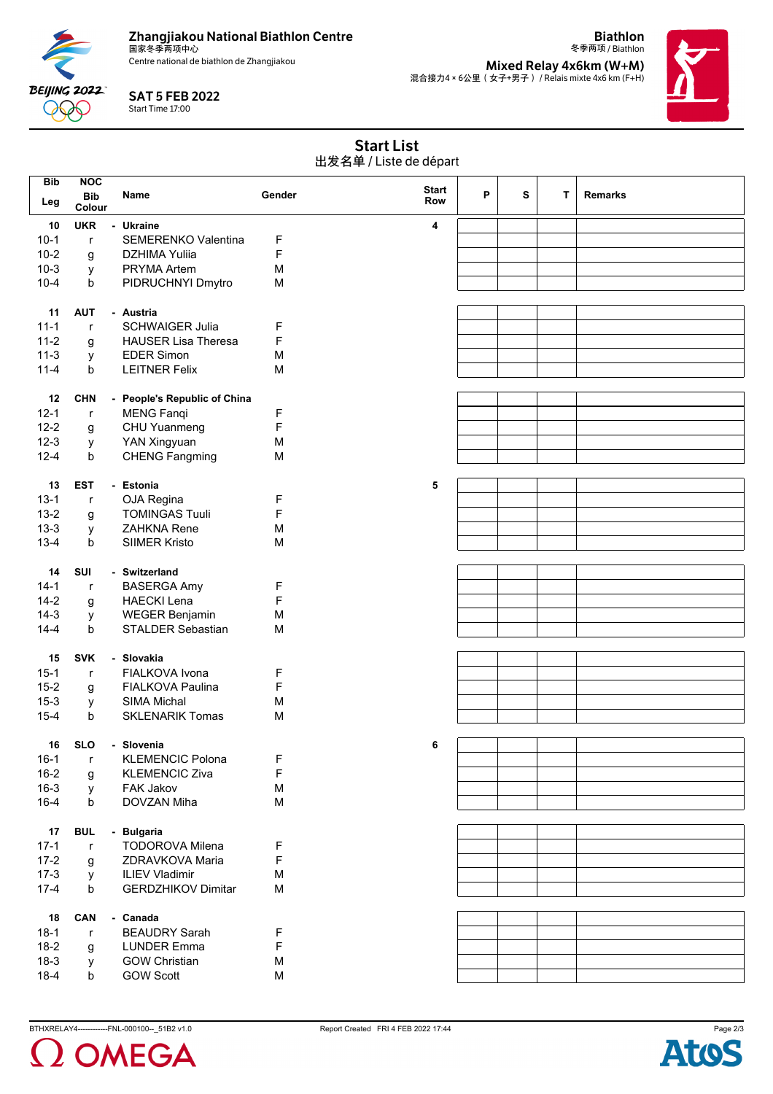

Centre national de biathlon de Zhangjiakou

SAT 5 FEB 2022 Start Time 17:00

**BEIJING 2022** 999

**Mixed Relay 4x6km (W+M)** 混合接力4×6公里(女子+男子) / Relais mixte 4x6 km (F+H)



**Biathlon** 冬季两项 / Biathlon

| <b>Start List</b>      |
|------------------------|
| 出发名单 / Liste de départ |

| <b>Bib</b> | <b>NOC</b>   |                              |        |              |   |   |   |                |
|------------|--------------|------------------------------|--------|--------------|---|---|---|----------------|
|            | <b>Bib</b>   | Name                         | Gender | <b>Start</b> | P | S | т | <b>Remarks</b> |
| Leg        | Colour       |                              |        | Row          |   |   |   |                |
| 10         | <b>UKR</b>   | - Ukraine                    |        | 4            |   |   |   |                |
| $10-1$     |              |                              |        |              |   |   |   |                |
|            | $\mathsf{r}$ | <b>SEMERENKO Valentina</b>   | F      |              |   |   |   |                |
| $10 - 2$   | g            | <b>DZHIMA Yuliia</b>         | F      |              |   |   |   |                |
| $10-3$     | у            | PRYMA Artem                  | M      |              |   |   |   |                |
| $10 - 4$   | b            | PIDRUCHNYI Dmytro            | M      |              |   |   |   |                |
|            |              |                              |        |              |   |   |   |                |
| 11         | <b>AUT</b>   | - Austria                    |        |              |   |   |   |                |
| $11 - 1$   | r            | <b>SCHWAIGER Julia</b>       | F      |              |   |   |   |                |
| $11 - 2$   | g            | <b>HAUSER Lisa Theresa</b>   | F      |              |   |   |   |                |
| $11-3$     | у            | <b>EDER Simon</b>            | M      |              |   |   |   |                |
| $11 - 4$   | b            | <b>LEITNER Felix</b>         | M      |              |   |   |   |                |
|            |              |                              |        |              |   |   |   |                |
| 12         | <b>CHN</b>   | - People's Republic of China |        |              |   |   |   |                |
| $12 - 1$   | $\mathsf{r}$ | <b>MENG Fanqi</b>            | F      |              |   |   |   |                |
| $12 - 2$   | g            | CHU Yuanmeng                 | F      |              |   |   |   |                |
| $12-3$     | у            | YAN Xingyuan                 | M      |              |   |   |   |                |
| $12 - 4$   | b            | <b>CHENG Fangming</b>        | M      |              |   |   |   |                |
|            |              |                              |        |              |   |   |   |                |
| 13         | <b>EST</b>   | - Estonia                    |        | 5            |   |   |   |                |
| $13 - 1$   | $\mathsf{r}$ | OJA Regina                   | F      |              |   |   |   |                |
| $13 - 2$   | g            | <b>TOMINGAS Tuuli</b>        | F      |              |   |   |   |                |
| $13 - 3$   | у            | <b>ZAHKNA Rene</b>           | M      |              |   |   |   |                |
| $13 - 4$   | b            | <b>SIIMER Kristo</b>         | M      |              |   |   |   |                |
|            |              |                              |        |              |   |   |   |                |
| 14         | SUI          | - Switzerland                |        |              |   |   |   |                |
| $14-1$     |              | <b>BASERGA Amy</b>           |        |              |   |   |   |                |
| $14-2$     | $\mathsf{r}$ |                              | F      |              |   |   |   |                |
|            | g            | <b>HAECKI Lena</b>           | F      |              |   |   |   |                |
| $14-3$     | у            | <b>WEGER Benjamin</b>        | M      |              |   |   |   |                |
| $14 - 4$   | b            | <b>STALDER Sebastian</b>     | M      |              |   |   |   |                |
|            |              |                              |        |              |   |   |   |                |
| 15         | <b>SVK</b>   | - Slovakia                   |        |              |   |   |   |                |
| $15 - 1$   | $\mathsf{r}$ | FIALKOVA Ivona               | F      |              |   |   |   |                |
| $15 - 2$   | g            | <b>FIALKOVA Paulina</b>      | F      |              |   |   |   |                |
| $15 - 3$   | у            | <b>SIMA Michal</b>           | M      |              |   |   |   |                |
| $15 - 4$   | b            | <b>SKLENARIK Tomas</b>       | M      |              |   |   |   |                |
|            |              |                              |        |              |   |   |   |                |
| 16         | <b>SLO</b>   | - Slovenia                   |        | 6            |   |   |   |                |
| $16-1$     | $\mathsf{r}$ | <b>KLEMENCIC Polona</b>      | F      |              |   |   |   |                |
| $16 - 2$   | g            | <b>KLEMENCIC Ziva</b>        | F      |              |   |   |   |                |
| $16 - 3$   | y            | FAK Jakov                    | M      |              |   |   |   |                |
| $16 - 4$   | b            | DOVZAN Miha                  | M      |              |   |   |   |                |
|            |              |                              |        |              |   |   |   |                |
| 17         | <b>BUL</b>   | - Bulgaria                   |        |              |   |   |   |                |
| $17-1$     | $\mathsf{r}$ | <b>TODOROVA Milena</b>       | F      |              |   |   |   |                |
| $17 - 2$   | g            | ZDRAVKOVA Maria              | F      |              |   |   |   |                |
| $17-3$     | У            | <b>ILIEV Vladimir</b>        | M      |              |   |   |   |                |
| $17 - 4$   | b            | <b>GERDZHIKOV Dimitar</b>    | M      |              |   |   |   |                |
|            |              |                              |        |              |   |   |   |                |
| 18         | CAN          | - Canada                     |        |              |   |   |   |                |
| $18-1$     | $\mathsf{r}$ | <b>BEAUDRY Sarah</b>         | F      |              |   |   |   |                |
| $18-2$     | g            | <b>LUNDER Emma</b>           | F      |              |   |   |   |                |
| $18-3$     | У            | <b>GOW Christian</b>         | M      |              |   |   |   |                |
| $18 - 4$   | b            | <b>GOW Scott</b>             | M      |              |   |   |   |                |
|            |              |                              |        |              |   |   |   |                |